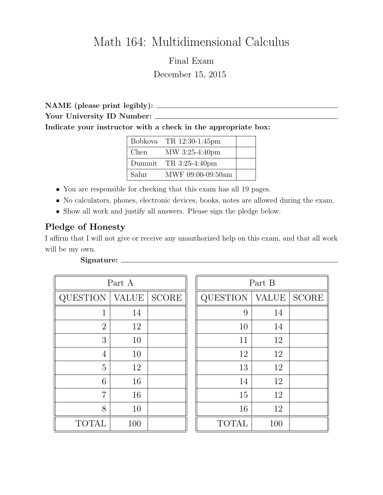# Math 164: Multidimensional Calculus

Final Exam December 15, 2015

NAME (please print legibly): Your University ID Number: Indicate your instructor with a check in the appropriate box:

|       | Bobkova TR $12:30-1:45$ pm |  |
|-------|----------------------------|--|
| Chen  | MW 3:25-4:40pm             |  |
|       | Dummit TR $3:25-4:40$ pm   |  |
| Salur | MWF 09:00-09:50am          |  |

- You are responsible for checking that this exam has all 19 pages.
- No calculators, phones, electronic devices, books, notes are allowed during the exam.
- Show all work and justify all answers. Please sign the pledge below.

## Pledge of Honesty

I affirm that I will not give or receive any unauthorized help on this exam, and that all work will be my own.

| Part A          |              |              | Part B          |              |              |  |
|-----------------|--------------|--------------|-----------------|--------------|--------------|--|
| <b>QUESTION</b> | <b>VALUE</b> | <b>SCORE</b> | <b>QUESTION</b> | <b>VALUE</b> | <b>SCORE</b> |  |
| 1               | 14           |              | 9               | 14           |              |  |
| $\overline{2}$  | 12           |              | 10              | 14           |              |  |
| 3               | 10           |              | 11              | 12           |              |  |
| 4               | 10           |              | 12              | 12           |              |  |
| 5               | 12           |              | 13              | 12           |              |  |
| 6               | 16           |              | 14              | 12           |              |  |
| $\overline{7}$  | 16           |              | 15              | 12           |              |  |
| 8               | 10           |              | 16              | 12           |              |  |
| <b>TOTAL</b>    | 100          |              | <b>TOTAL</b>    | 100          |              |  |

# Signature: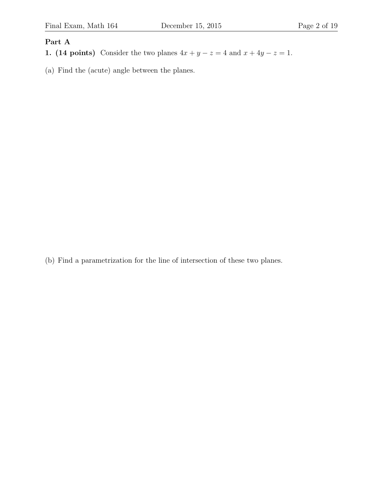## Part A

- 1. (14 points) Consider the two planes  $4x + y z = 4$  and  $x + 4y z = 1$ .
- (a) Find the (acute) angle between the planes.

(b) Find a parametrization for the line of intersection of these two planes.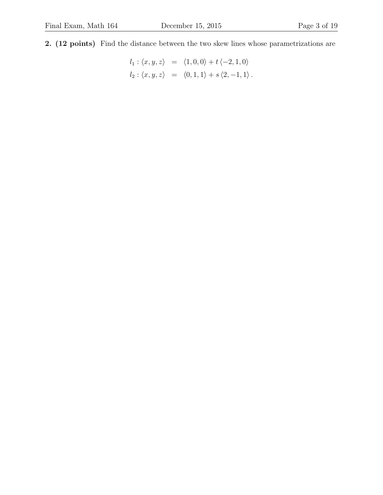2. (12 points) Find the distance between the two skew lines whose parametrizations are

$$
l_1: \langle x, y, z \rangle = \langle 1, 0, 0 \rangle + t \langle -2, 1, 0 \rangle
$$
  
\n $l_2: \langle x, y, z \rangle = \langle 0, 1, 1 \rangle + s \langle 2, -1, 1 \rangle.$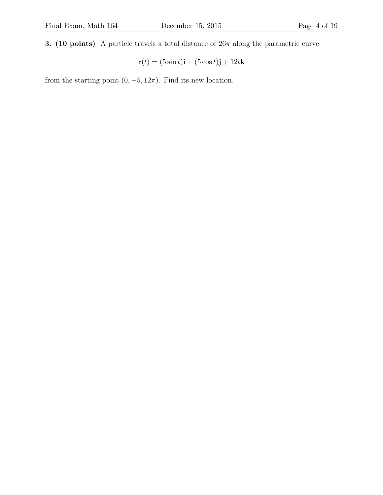3. (10 points) A particle travels a total distance of  $26\pi$  along the parametric curve

$$
\mathbf{r}(t) = (5\sin t)\mathbf{i} + (5\cos t)\mathbf{j} + 12t\mathbf{k}
$$

from the starting point  $(0, -5, 12\pi)$ . Find its new location.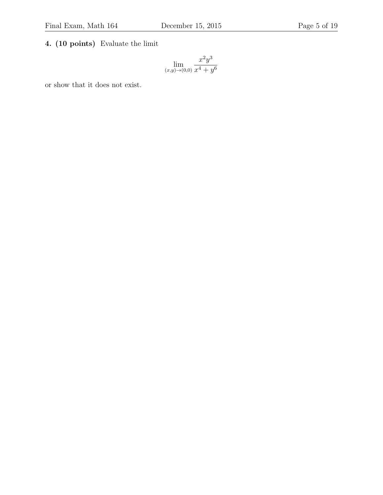## 4. (10 points) Evaluate the limit

$$
\lim_{(x,y)\to(0,0)}\frac{x^2y^3}{x^4+y^6}
$$

or show that it does not exist.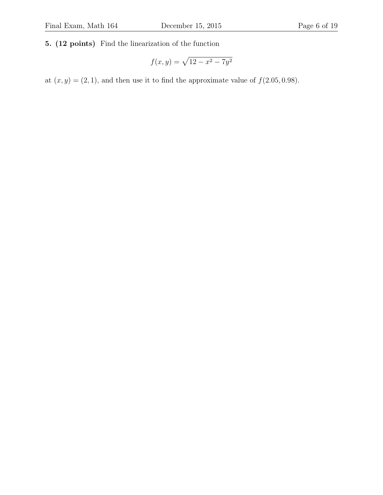#### 5. (12 points) Find the linearization of the function

$$
f(x,y) = \sqrt{12 - x^2 - 7y^2}
$$

at  $(x, y) = (2, 1)$ , and then use it to find the approximate value of  $f(2.05, 0.98)$ .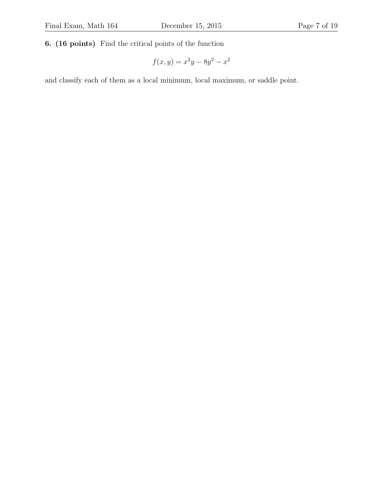6. (16 points) Find the critical points of the function

$$
f(x, y) = x^2y - 8y^2 - x^2
$$

and classify each of them as a local minimum, local maximum, or saddle point.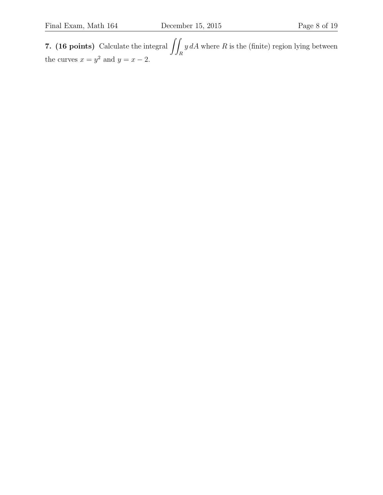7. (16 points) Calculate the integral  $\int$ R  $y dA$  where R is the (finite) region lying between the curves  $x = y^2$  and  $y = x - 2$ .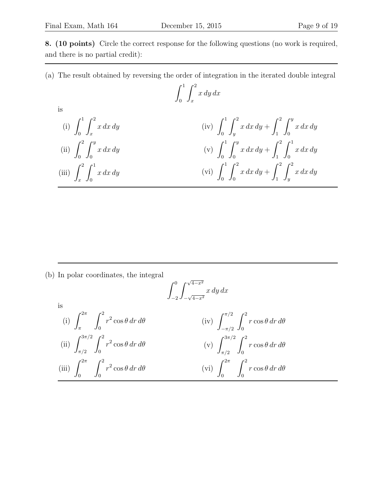is

8. (10 points) Circle the correct response for the following questions (no work is required, and there is no partial credit):

(a) The result obtained by reversing the order of integration in the iterated double integral

$$
\int_0^1 \int_x^2 x \, dy \, dx
$$

(i) 
$$
\int_0^1 \int_x^2 x \, dx \, dy
$$
  
\n(ii)  $\int_0^2 \int_0^y x \, dx \, dy$   
\n(iii)  $\int_x^2 \int_0^y x \, dx \, dy$   
\n(iv)  $\int_0^1 \int_y^2 x \, dx \, dy + \int_1^2 \int_0^y x \, dx \, dy$   
\n(v)  $\int_0^1 \int_0^y x \, dx \, dy + \int_1^2 \int_0^1 x \, dx \, dy$   
\n(vi)  $\int_0^1 \int_0^2 x \, dx \, dy + \int_1^2 \int_y^2 x \, dx \, dy$ 

(b) In polar coordinates, the integral

$$
\int_{-2}^{0} \int_{-\sqrt{4-x^{2}}}^{\sqrt{4-x^{2}}} x \, dy \, dx
$$
  
\nis  
\n(i)  $\int_{\pi}^{2\pi} \int_{0}^{2} r^{2} \cos \theta \, dr \, d\theta$   
\n(ii)  $\int_{\pi/2}^{3\pi/2} \int_{0}^{2} r^{2} \cos \theta \, dr \, d\theta$   
\n(iii)  $\int_{0}^{3\pi/2} \int_{0}^{2} r^{2} \cos \theta \, dr \, d\theta$   
\n(v)  $\int_{\pi/2}^{3\pi/2} \int_{0}^{2} r \cos \theta \, dr \, d\theta$   
\n(vi)  $\int_{0}^{2\pi} \int_{0}^{2} r \cos \theta \, dr \, d\theta$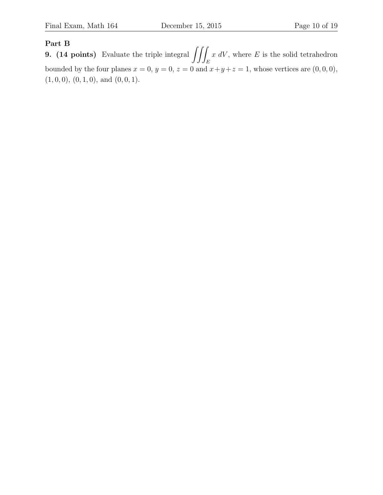#### Part B

**9.** (14 points) Evaluate the triple integral  $\iiint$ E  $x dV$ , where E is the solid tetrahedron bounded by the four planes  $x = 0$ ,  $y = 0$ ,  $z = 0$  and  $x+y+z=1$ , whose vertices are  $(0,0,0)$ ,  $(1, 0, 0), (0, 1, 0), \text{ and } (0, 0, 1).$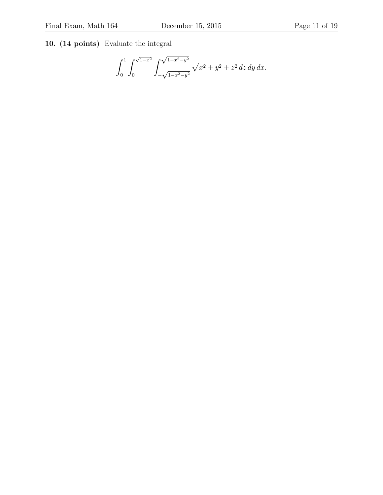## 10. (14 points) Evaluate the integral

$$
\int_0^1 \int_0^{\sqrt{1-x^2}} \int_{-\sqrt{1-x^2-y^2}}^{\sqrt{1-x^2-y^2}} \sqrt{x^2+y^2+z^2} \, dz \, dy \, dx.
$$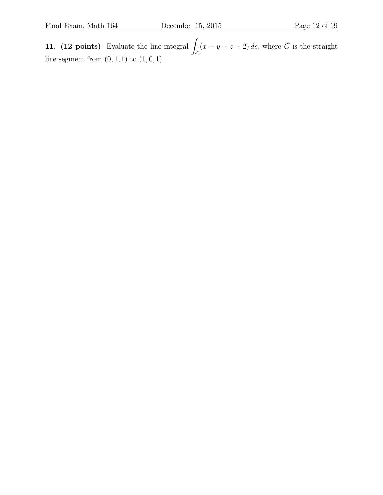11.  $(12 \text{ points})$  Evaluate the line integral  $\mathcal{C}_{0}^{0}$  $(x - y + z + 2) ds$ , where C is the straight line segment from  $(0, 1, 1)$  to  $(1, 0, 1)$ .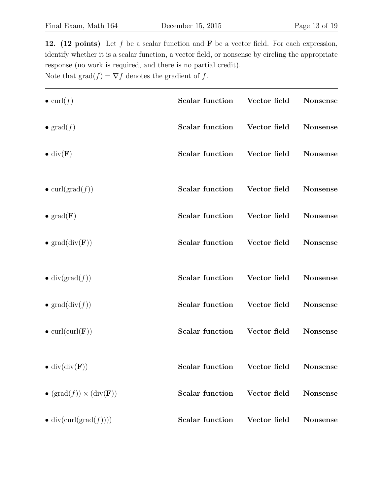12. (12 points) Let  $f$  be a scalar function and  $\bf{F}$  be a vector field. For each expression, identify whether it is a scalar function, a vector field, or nonsense by circling the appropriate response (no work is required, and there is no partial credit). Note that  $\text{grad}(f) = \nabla f$  denotes the gradient of f.

| $\bullet$ curl(f)                                    | <b>Scalar function</b> | Vector field | Nonsense        |
|------------------------------------------------------|------------------------|--------------|-----------------|
| $\bullet$ grad $(f)$                                 | <b>Scalar function</b> | Vector field | Nonsense        |
| $\bullet$ div( <b>F</b> )                            | <b>Scalar function</b> | Vector field | Nonsense        |
| $\bullet$ curl(grad(f))                              | <b>Scalar function</b> | Vector field | Nonsense        |
| $\bullet$ grad( <b>F</b> )                           | <b>Scalar function</b> | Vector field | Nonsense        |
| • $grad(div(F))$                                     | <b>Scalar function</b> | Vector field | Nonsense        |
| $\bullet$ div(grad(f))                               | <b>Scalar function</b> | Vector field | Nonsense        |
| • $grad(div(f))$                                     | <b>Scalar function</b> | Vector field | Nonsense        |
| $\bullet$ curl(curl( <b>F</b> ))                     | <b>Scalar function</b> | Vector field | Nonsense        |
| $\bullet$ div(div( $\mathbf{F}$ ))                   | <b>Scalar function</b> | Vector field | <b>Nonsense</b> |
| • $(\text{grad}(f)) \times (\text{div}(\mathbf{F}))$ | <b>Scalar function</b> | Vector field | <b>Nonsense</b> |
| $\bullet$ div(curl(grad(f))))                        | <b>Scalar function</b> | Vector field | <b>Nonsense</b> |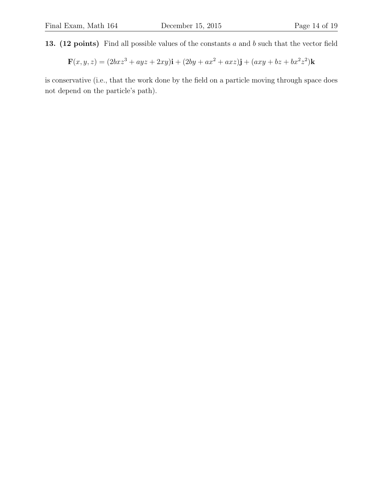13. (12 points) Find all possible values of the constants a and b such that the vector field

$$
\mathbf{F}(x,y,z)=(2bxz^3+ayz+2xy)\mathbf{i}+(2by+ax^2+axz)\mathbf{j}+(axy+bz+bx^2z^2)\mathbf{k}
$$

is conservative (i.e., that the work done by the field on a particle moving through space does not depend on the particle's path).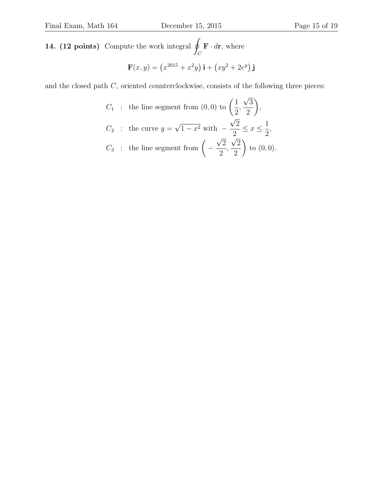14.  $(12 \text{ points})$  Compute the work integral q  $\mathcal{C}_{0}^{0}$  $\mathbf{F} \cdot d\mathbf{r}$ , where

$$
\mathbf{F}(x, y) = (x^{2015} + x^2y)\mathbf{i} + (xy^2 + 2e^y)\mathbf{j}
$$

and the closed path  $C$ , oriented counterclockwise, consists of the following three pieces:

$$
C_1 : \text{ the line segment from } (0,0) \text{ to } \left(\frac{1}{2}, \frac{\sqrt{3}}{2}\right),
$$
  

$$
C_2 : \text{ the curve } y = \sqrt{1 - x^2} \text{ with } -\frac{\sqrt{2}}{2} \le x \le \frac{1}{2},
$$
  

$$
C_3 : \text{ the line segment from } \left(-\frac{\sqrt{2}}{2}, \frac{\sqrt{2}}{2}\right) \text{ to } (0,0).
$$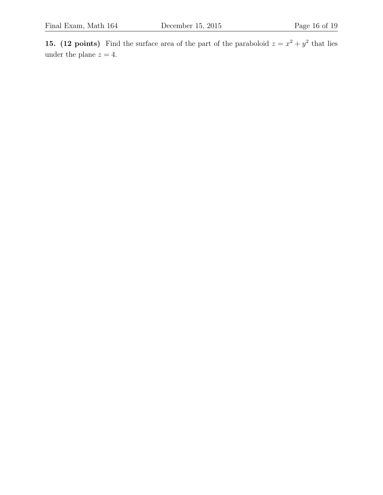15. (12 points) Find the surface area of the part of the paraboloid  $z = x^2 + y^2$  that lies under the plane  $z = 4$ .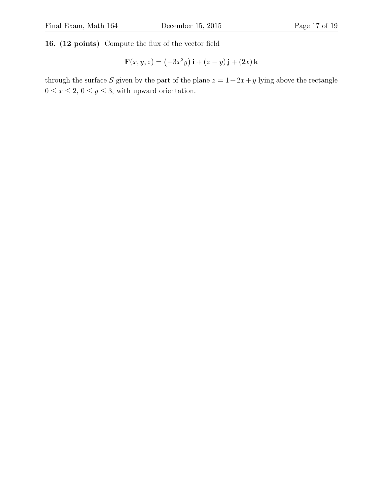16. (12 points) Compute the flux of the vector field

$$
\mathbf{F}(x, y, z) = \left(-3x^2y\right)\mathbf{i} + \left(z - y\right)\mathbf{j} + \left(2x\right)\mathbf{k}
$$

through the surface S given by the part of the plane  $z = 1 + 2x + y$  lying above the rectangle  $0\leq x\leq 2,\,0\leq y\leq 3,$  with upward orientation.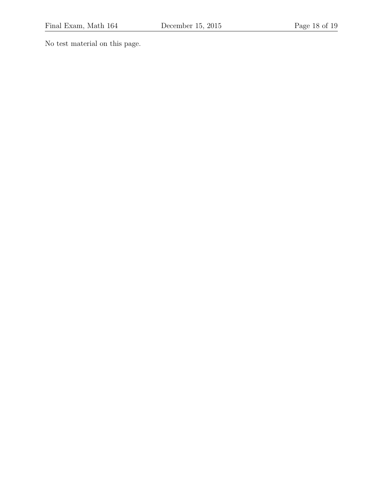No test material on this page.